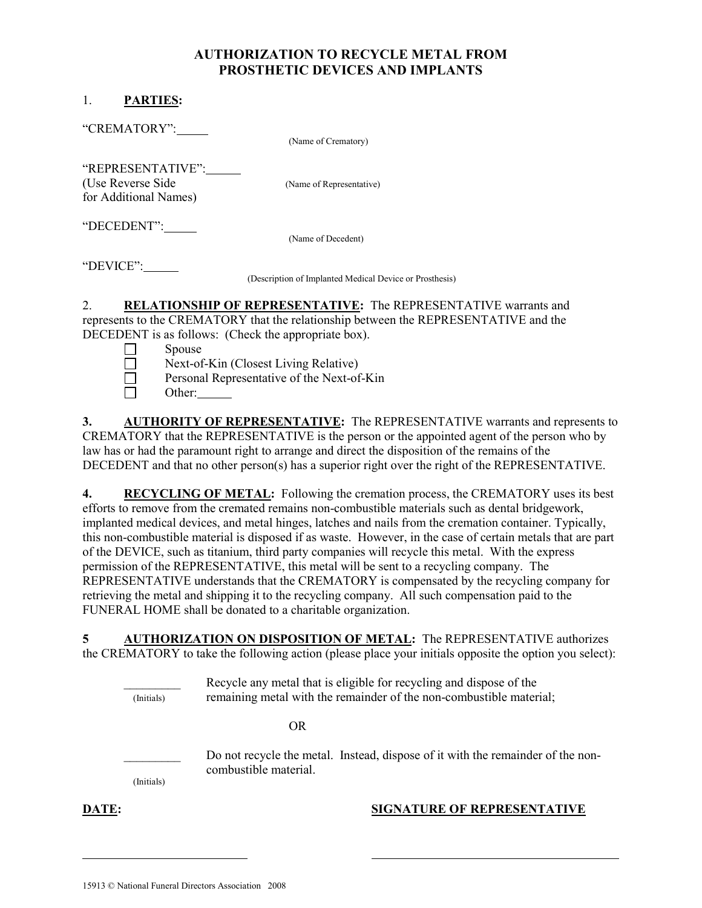## AUTHORIZATION TO RECYCLE METAL FROM PROSTHETIC DEVICES AND IMPLANTS

## 1. PARTIES:

 $\Box$  Other:

3. AUTHORITY OF REPRESENTATIVE: The REPRESENTATIVE warrants and represents to CREMATORY that the REPRESENTATIVE is the person or the appointed agent of the person who by law has or had the paramount right to arrange and direct the disposition of the remains of the DECEDENT and that no other person(s) has a superior right over the right of the REPRESENTATIVE.

4. RECYCLING OF METAL: Following the cremation process, the CREMATORY uses its best efforts to remove from the cremated remains non-combustible materials such as dental bridgework, implanted medical devices, and metal hinges, latches and nails from the cremation container. Typically, this non-combustible material is disposed if as waste. However, in the case of certain metals that are part of the DEVICE, such as titanium, third party companies will recycle this metal. With the express permission of the REPRESENTATIVE, this metal will be sent to a recycling company. The REPRESENTATIVE understands that the CREMATORY is compensated by the recycling company for retrieving the metal and shipping it to the recycling company. All such compensation paid to the FUNERAL HOME shall be donated to a charitable organization.

5 AUTHORIZATION ON DISPOSITION OF METAL: The REPRESENTATIVE authorizes the CREMATORY to take the following action (please place your initials opposite the option you select):

Recycle any metal that is eligible for recycling and dispose of the (Initials) remaining metal with the remainder of the non-combustible material;

OR

(Initials)

Do not recycle the metal. Instead, dispose of it with the remainder of the noncombustible material.

## **DATE:** SIGNATURE OF REPRESENTATIVE